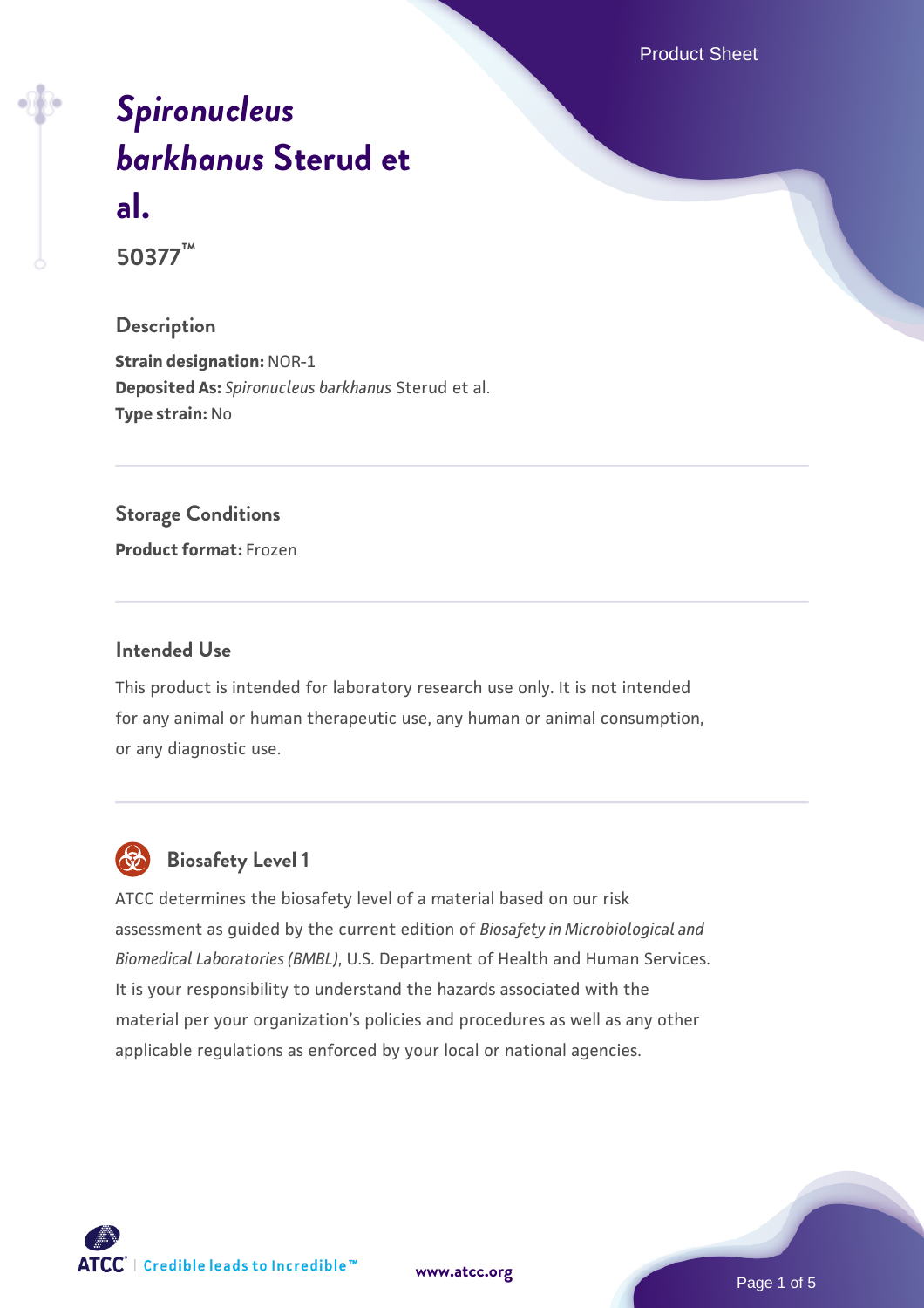Product Sheet

# *[Spironucleus](https://www.atcc.org/products/50377) [barkhanus](https://www.atcc.org/products/50377)* **[Sterud et](https://www.atcc.org/products/50377) [al.](https://www.atcc.org/products/50377)**

**50377™**

#### **Description**

**Strain designation:** NOR-1 **Deposited As:** *Spironucleus barkhanus* Sterud et al. **Type strain:** No

#### **Storage Conditions**

**Product format:** Frozen

#### **Intended Use**

This product is intended for laboratory research use only. It is not intended for any animal or human therapeutic use, any human or animal consumption, or any diagnostic use.



## **Biosafety Level 1**

ATCC determines the biosafety level of a material based on our risk assessment as guided by the current edition of *Biosafety in Microbiological and Biomedical Laboratories (BMBL)*, U.S. Department of Health and Human Services. It is your responsibility to understand the hazards associated with the material per your organization's policies and procedures as well as any other applicable regulations as enforced by your local or national agencies.

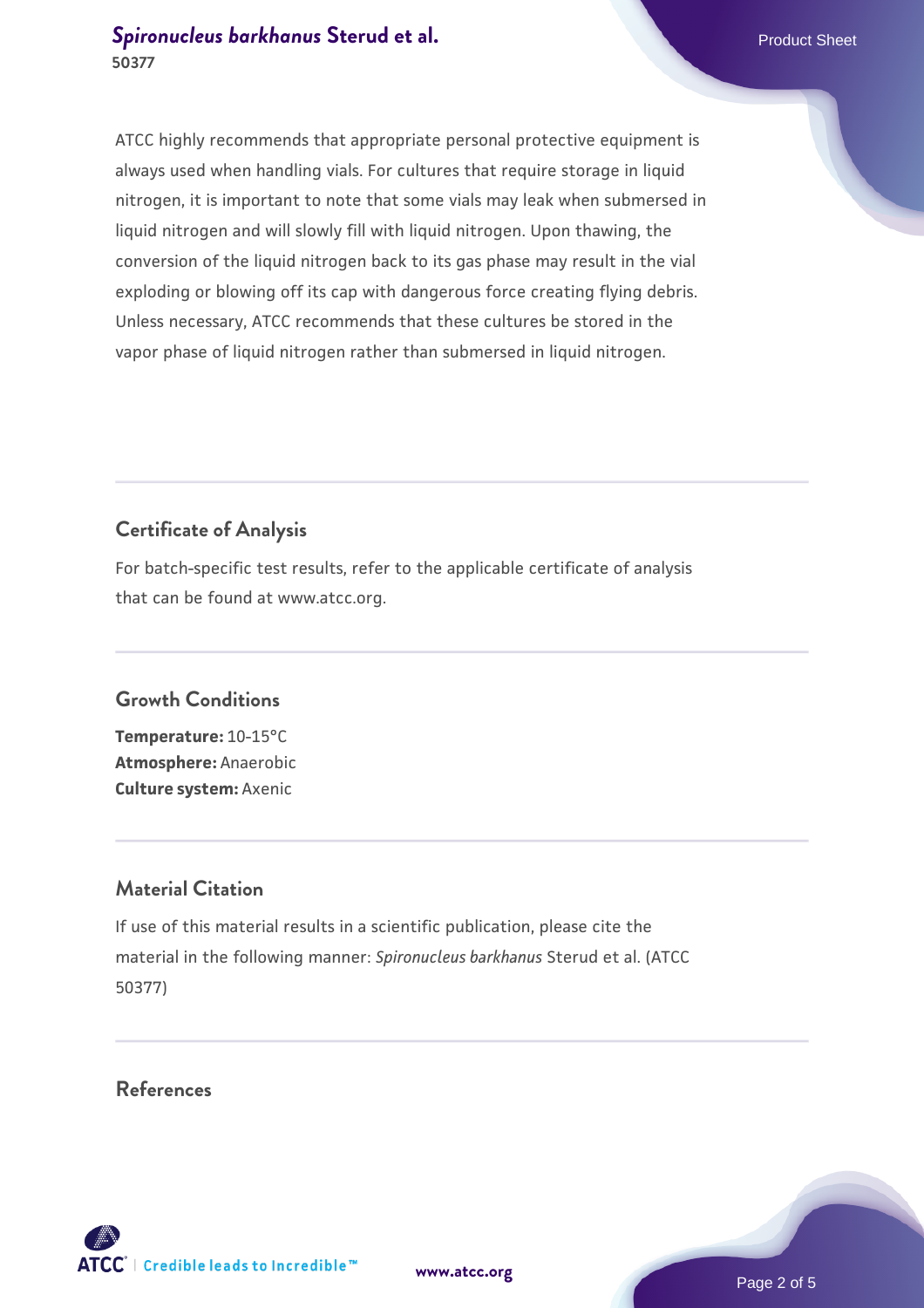ATCC highly recommends that appropriate personal protective equipment is always used when handling vials. For cultures that require storage in liquid nitrogen, it is important to note that some vials may leak when submersed in liquid nitrogen and will slowly fill with liquid nitrogen. Upon thawing, the conversion of the liquid nitrogen back to its gas phase may result in the vial exploding or blowing off its cap with dangerous force creating flying debris. Unless necessary, ATCC recommends that these cultures be stored in the vapor phase of liquid nitrogen rather than submersed in liquid nitrogen.

### **Certificate of Analysis**

For batch-specific test results, refer to the applicable certificate of analysis that can be found at www.atcc.org.

#### **Growth Conditions**

**Temperature:** 10-15°C **Atmosphere:** Anaerobic **Culture system:** Axenic

#### **Material Citation**

If use of this material results in a scientific publication, please cite the material in the following manner: *Spironucleus barkhanus* Sterud et al. (ATCC 50377)

#### **References**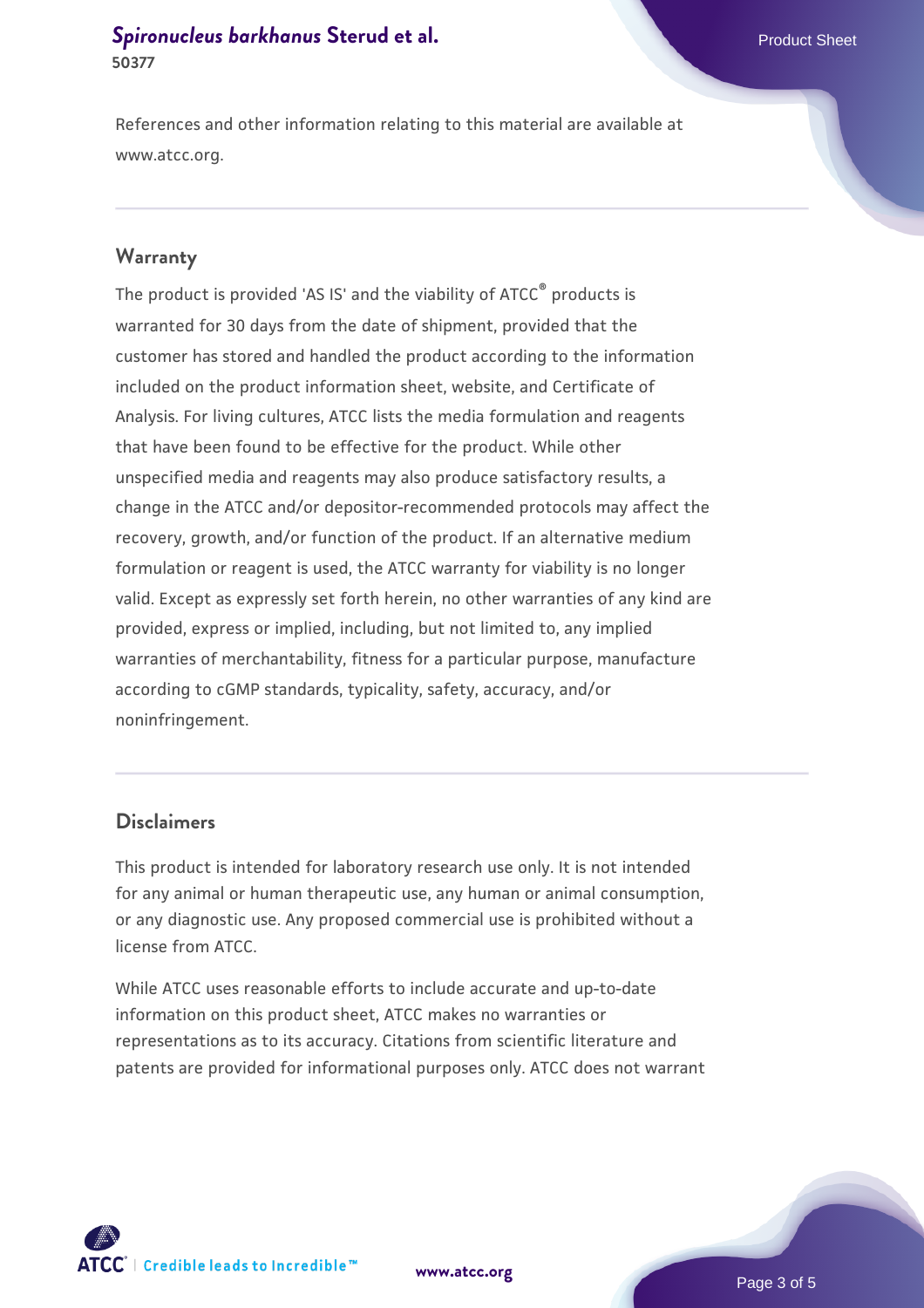References and other information relating to this material are available at www.atcc.org.

#### **Warranty**

The product is provided 'AS IS' and the viability of ATCC® products is warranted for 30 days from the date of shipment, provided that the customer has stored and handled the product according to the information included on the product information sheet, website, and Certificate of Analysis. For living cultures, ATCC lists the media formulation and reagents that have been found to be effective for the product. While other unspecified media and reagents may also produce satisfactory results, a change in the ATCC and/or depositor-recommended protocols may affect the recovery, growth, and/or function of the product. If an alternative medium formulation or reagent is used, the ATCC warranty for viability is no longer valid. Except as expressly set forth herein, no other warranties of any kind are provided, express or implied, including, but not limited to, any implied warranties of merchantability, fitness for a particular purpose, manufacture according to cGMP standards, typicality, safety, accuracy, and/or noninfringement.

#### **Disclaimers**

This product is intended for laboratory research use only. It is not intended for any animal or human therapeutic use, any human or animal consumption, or any diagnostic use. Any proposed commercial use is prohibited without a license from ATCC.

While ATCC uses reasonable efforts to include accurate and up-to-date information on this product sheet, ATCC makes no warranties or representations as to its accuracy. Citations from scientific literature and patents are provided for informational purposes only. ATCC does not warrant



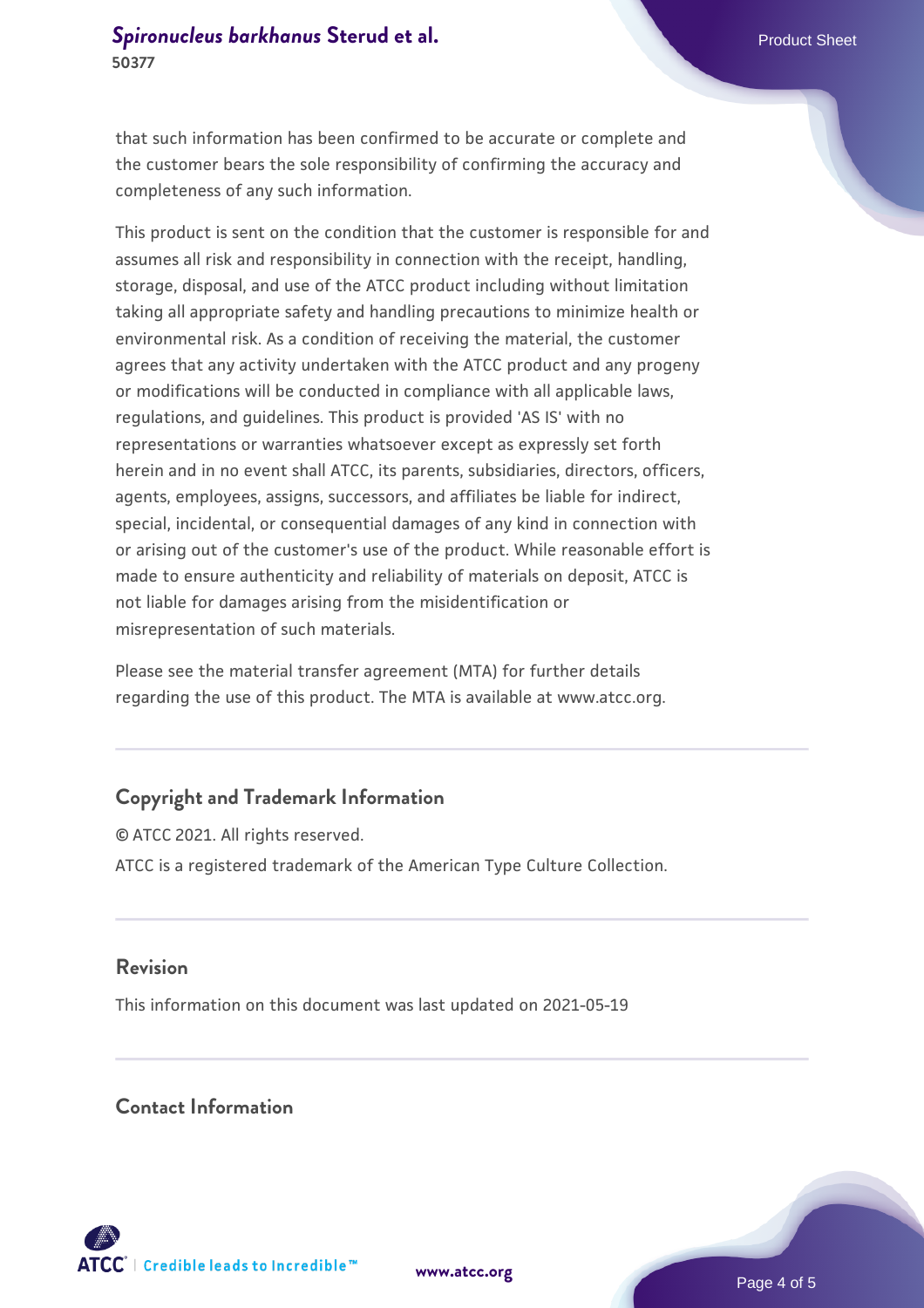that such information has been confirmed to be accurate or complete and the customer bears the sole responsibility of confirming the accuracy and completeness of any such information.

This product is sent on the condition that the customer is responsible for and assumes all risk and responsibility in connection with the receipt, handling, storage, disposal, and use of the ATCC product including without limitation taking all appropriate safety and handling precautions to minimize health or environmental risk. As a condition of receiving the material, the customer agrees that any activity undertaken with the ATCC product and any progeny or modifications will be conducted in compliance with all applicable laws, regulations, and guidelines. This product is provided 'AS IS' with no representations or warranties whatsoever except as expressly set forth herein and in no event shall ATCC, its parents, subsidiaries, directors, officers, agents, employees, assigns, successors, and affiliates be liable for indirect, special, incidental, or consequential damages of any kind in connection with or arising out of the customer's use of the product. While reasonable effort is made to ensure authenticity and reliability of materials on deposit, ATCC is not liable for damages arising from the misidentification or misrepresentation of such materials.

Please see the material transfer agreement (MTA) for further details regarding the use of this product. The MTA is available at www.atcc.org.

#### **Copyright and Trademark Information**

© ATCC 2021. All rights reserved. ATCC is a registered trademark of the American Type Culture Collection.

#### **Revision**

This information on this document was last updated on 2021-05-19

#### **Contact Information**



**[www.atcc.org](http://www.atcc.org)**